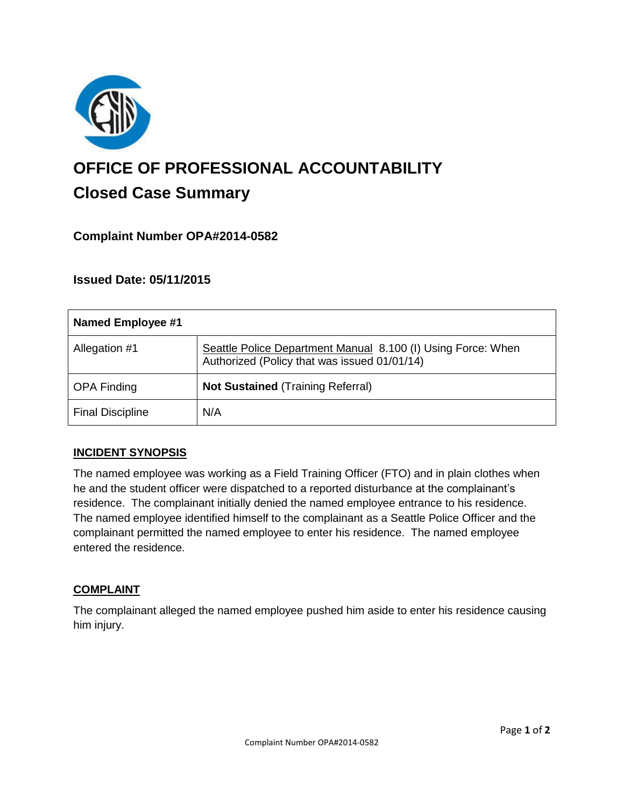

# **OFFICE OF PROFESSIONAL ACCOUNTABILITY Closed Case Summary**

## **Complaint Number OPA#2014-0582**

## **Issued Date: 05/11/2015**

| Named Employee #1       |                                                                                                              |
|-------------------------|--------------------------------------------------------------------------------------------------------------|
| Allegation #1           | Seattle Police Department Manual 8.100 (I) Using Force: When<br>Authorized (Policy that was issued 01/01/14) |
| <b>OPA Finding</b>      | <b>Not Sustained (Training Referral)</b>                                                                     |
| <b>Final Discipline</b> | N/A                                                                                                          |

#### **INCIDENT SYNOPSIS**

The named employee was working as a Field Training Officer (FTO) and in plain clothes when he and the student officer were dispatched to a reported disturbance at the complainant's residence. The complainant initially denied the named employee entrance to his residence. The named employee identified himself to the complainant as a Seattle Police Officer and the complainant permitted the named employee to enter his residence. The named employee entered the residence.

#### **COMPLAINT**

The complainant alleged the named employee pushed him aside to enter his residence causing him injury.